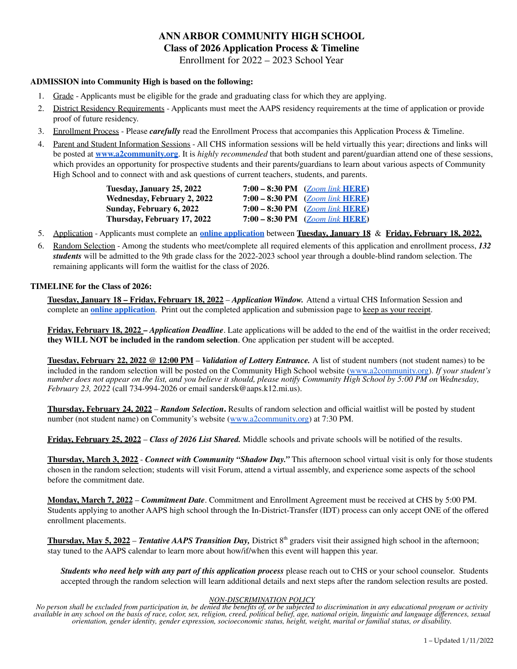## **ANN ARBOR COMMUNITY HIGH SCHOOL Class of 2026 Application Process & Timeline**

Enrollment for 2022 – 2023 School Year

### **ADMISSION into Community High is based on the following:**

- 1. Grade Applicants must be eligible for the grade and graduating class for which they are applying.
- 2. District Residency Requirements Applicants must meet the AAPS residency requirements at the time of application or provide proof of future residency.
- 3. Enrollment Process Please *carefully* read the Enrollment Process that accompanies this Application Process & Timeline.
- 4. Parent and Student Information Sessions All CHS information sessions will be held virtually this year; directions and links will be posted at **[www.a2community.org](http://www.a2community.org)**. It is *highly recommended* that both student and parent/guardian attend one of these sessions, which provides an opportunity for prospective students and their parents/guardians to learn about various aspects of Community High School and to connect with and ask questions of current teachers, students, and parents.

| Tuesdav, Januarv 25, 2022          | 7:00 – 8:30 PM $(Zoom link HERE)$ |
|------------------------------------|-----------------------------------|
| <b>Wednesday, February 2, 2022</b> | 7:00 – 8:30 PM $(Zoom link HERE)$ |
| Sunday, February 6, 2022           | 7:00 – 8:30 PM $(Zoom link HERE)$ |
| Thursdav, February 17, 2022        | 7:00 – 8:30 PM $(Zoom link HERE)$ |

- 5. Application Applicants must complete an **online [application](https://registration.powerschool.com/family/gosnap.aspx?action=31865&culture=en)** between **Tuesday, January 18** & **Friday, February 18, 2022.**
- 6. Random Selection Among the students who meet/complete all required elements of this application and enrollment process, *132 students* will be admitted to the 9th grade class for the 2022-2023 school year through a double-blind random selection. The remaining applicants will form the waitlist for the class of 2026.

#### **TIMELINE for the Class of 2026:**

**Tuesday, January 18 – Friday, February 18, 2022** – *Application Window.* Attend a virtual CHS Information Session and complete an **online [application](https://registration.powerschool.com/family/gosnap.aspx?action=31865&culture=en)**. Print out the completed application and submission page to keep as your receipt.

**Friday, February 18, 2022 –** *Application Deadline*. Late applications will be added to the end of the waitlist in the order received; **they WILL NOT be included in the random selection**. One application per student will be accepted.

**Tuesday, February 22, 2022 @ 12:00 PM** – *Validation of Lottery Entrance.* A list of student numbers (not student names) to be included in the random selection will be posted on the Community High School website [\(www.a2community.org\)](http://www.a2community.org). *If your student's* number does not appear on the list, and you believe it should, please notify Community High School by 5:00 PM on Wednesday, *February 23, 2022* (call 734-994-2026 or email sandersk@aaps.k12.mi.us).

**Thursday, February 24, 2022** – *Random Selection***.** Results of random selection and official waitlist will be posted by student number (not student name) on Community's website ([www.a2community.org\)](http://www.a2community.org) at 7:30 PM.

**Friday, February 25, 2022** – *Class of 2026 List Shared.* Middle schools and private schools will be notified of the results.

**Thursday, March 3, 2022** - *Connect with Community "Shadow Day."* This afternoon school virtual visit is only for those students chosen in the random selection; students will visit Forum, attend a virtual assembly, and experience some aspects of the school before the commitment date.

**Monday, March 7, 2022** – *Commitment Date*. Commitment and Enrollment Agreement must be received at CHS by 5:00 PM. Students applying to another AAPS high school through the In-District-Transfer (IDT) process can only accept ONE of the offered enrollment placements.

**Thursday, May 5, 2022** – *Tentative AAPS Transition Day,* District 8 th graders visit their assigned high school in the afternoon; stay tuned to the AAPS calendar to learn more about how/if/when this event will happen this year.

*Students who need help with any part of this application process* please reach out to CHS or your school counselor. Students accepted through the random selection will learn additional details and next steps after the random selection results are posted.

#### *NON-DISCRIMINATION POLICY*

No person shall be excluded from participation in, be denied the benefits of, or be subjected to discrimination in any educational program or activity available in any school on the basis of race, color, sex, religion, creed, political belief, age, national origin, linguistic and language differences, sexual *orientation, gender identity, gender expression, socioeconomic status, height, weight, marital or familial status, or disability.*